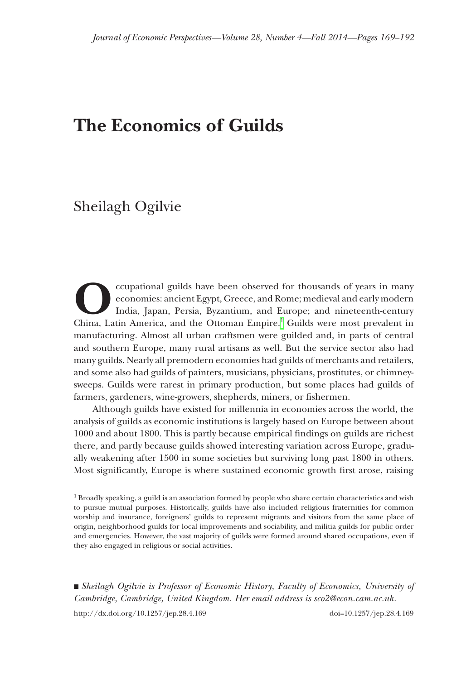# **The Economics of Guilds**

# Sheilagh Ogilvie

**O**ccupational guilds have been observed for thousands of years in many<br>economies: ancient Egypt, Greece, and Rome; medieval and early modern<br>India, Japan, Persia, Byzantium, and Europe; and nineteenth-century<br>China, Latin economies: ancient Egypt, Greece, and Rome; medieval and early modern India, Japan, Persia, Byzantium, and Europe; and nineteenth-century China, Latin America, and the Ottoman Empire.<sup>[1](#page-0-0)</sup> Guilds were most prevalent in manufacturing. Almost all urban craftsmen were guilded and, in parts of central and southern Europe, many rural artisans as well. But the service sector also had many guilds. Nearly all premodern economies had guilds of merchants and retailers, and some also had guilds of painters, musicians, physicians, prostitutes, or chimneysweeps. Guilds were rarest in primary production, but some places had guilds of farmers, gardeners, wine-growers, shepherds, miners, or fishermen.

Although guilds have existed for millennia in economies across the world, the analysis of guilds as economic institutions is largely based on Europe between about 1000 and about 1800. This is partly because empirical findings on guilds are richest there, and partly because guilds showed interesting variation across Europe, gradually weakening after 1500 in some societies but surviving long past 1800 in others. Most significantly, Europe is where sustained economic growth first arose, raising

■ *Sheilagh Ogilvie is Professor of Economic History, Faculty of Economics, University of Cambridge, Cambridge, United Kingdom. Her email address is sco2@econ.cam.ac.uk.*

http://dx.doi.org/10.1257/jep.28.4.169 doi=10.1257/jep.28.4.169

<span id="page-0-0"></span> $^{\rm 1}$  Broadly speaking, a guild is an association formed by people who share certain characteristics and wish to pursue mutual purposes. Historically, guilds have also included religious fraternities for common worship and insurance, foreigners' guilds to represent migrants and visitors from the same place of origin, neighborhood guilds for local improvements and sociability, and militia guilds for public order and emergencies. However, the vast majority of guilds were formed around shared occupations, even if they also engaged in religious or social activities.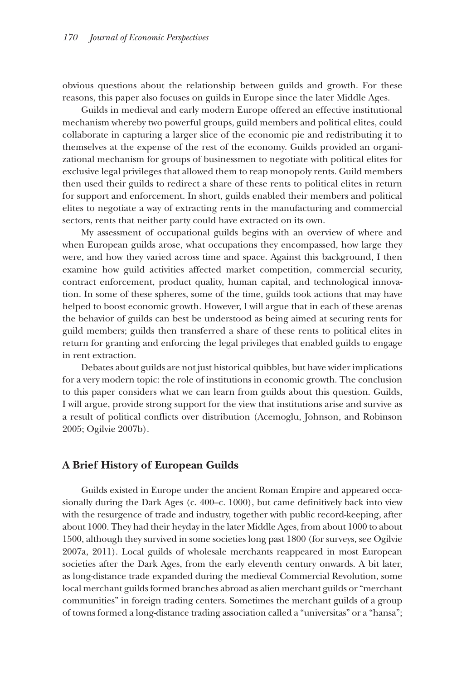obvious questions about the relationship between guilds and growth. For these reasons, this paper also focuses on guilds in Europe since the later Middle Ages.

Guilds in medieval and early modern Europe offered an effective institutional mechanism whereby two powerful groups, guild members and political elites, could collaborate in capturing a larger slice of the economic pie and redistributing it to themselves at the expense of the rest of the economy. Guilds provided an organizational mechanism for groups of businessmen to negotiate with political elites for exclusive legal privileges that allowed them to reap monopoly rents. Guild members then used their guilds to redirect a share of these rents to political elites in return for support and enforcement. In short, guilds enabled their members and political elites to negotiate a way of extracting rents in the manufacturing and commercial sectors, rents that neither party could have extracted on its own.

My assessment of occupational guilds begins with an overview of where and when European guilds arose, what occupations they encompassed, how large they were, and how they varied across time and space. Against this background, I then examine how guild activities affected market competition, commercial security, contract enforcement, product quality, human capital, and technological innovation. In some of these spheres, some of the time, guilds took actions that may have helped to boost economic growth. However, I will argue that in each of these arenas the behavior of guilds can best be understood as being aimed at securing rents for guild members; guilds then transferred a share of these rents to political elites in return for granting and enforcing the legal privileges that enabled guilds to engage in rent extraction.

Debates about guilds are not just historical quibbles, but have wider implications for a very modern topic: the role of institutions in economic growth. The conclusion to this paper considers what we can learn from guilds about this question. Guilds, I will argue, provide strong support for the view that institutions arise and survive as a result of political conflicts over distribution (Acemoglu, Johnson, and Robinson 2005; Ogilvie 2007b).

# **A Brief History of European Guilds**

Guilds existed in Europe under the ancient Roman Empire and appeared occasionally during the Dark Ages (c. 400–c. 1000), but came definitively back into view with the resurgence of trade and industry, together with public record-keeping, after about 1000. They had their heyday in the later Middle Ages, from about 1000 to about 1500, although they survived in some societies long past 1800 (for surveys, see Ogilvie 2007a, 2011). Local guilds of wholesale merchants reappeared in most European societies after the Dark Ages, from the early eleventh century onwards. A bit later, as long-distance trade expanded during the medieval Commercial Revolution, some local merchant guilds formed branches abroad as alien merchant guilds or "merchant communities" in foreign trading centers. Sometimes the merchant guilds of a group of towns formed a long-distance trading association called a "universitas" or a "hansa";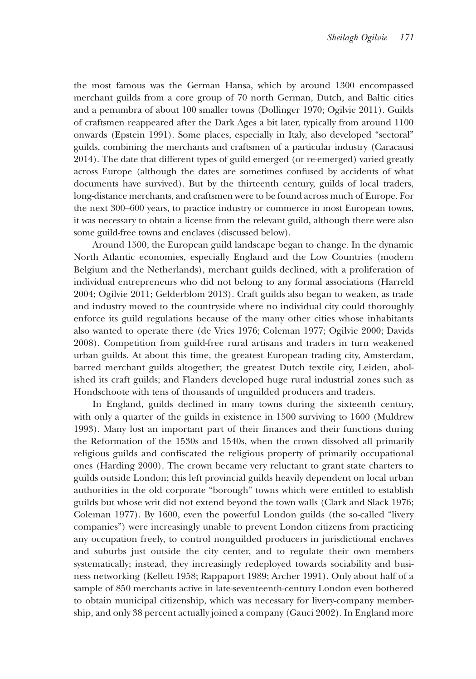the most famous was the German Hansa, which by around 1300 encompassed merchant guilds from a core group of 70 north German, Dutch, and Baltic cities and a penumbra of about 100 smaller towns (Dollinger 1970; Ogilvie 2011). Guilds of craftsmen reappeared after the Dark Ages a bit later, typically from around 1100 onwards (Epstein 1991). Some places, especially in Italy, also developed "sectoral" guilds, combining the merchants and craftsmen of a particular industry (Caracausi 2014). The date that different types of guild emerged (or re-emerged) varied greatly across Europe (although the dates are sometimes confused by accidents of what documents have survived). But by the thirteenth century, guilds of local traders, long-distance merchants, and craftsmen were to be found across much of Europe. For the next 300–600 years, to practice industry or commerce in most European towns, it was necessary to obtain a license from the relevant guild, although there were also some guild-free towns and enclaves (discussed below).

Around 1500, the European guild landscape began to change. In the dynamic North Atlantic economies, especially England and the Low Countries (modern Belgium and the Netherlands), merchant guilds declined, with a proliferation of individual entrepreneurs who did not belong to any formal associations (Harreld 2004; Ogilvie 2011; Gelderblom 2013). Craft guilds also began to weaken, as trade and industry moved to the countryside where no individual city could thoroughly enforce its guild regulations because of the many other cities whose inhabitants also wanted to operate there (de Vries 1976; Coleman 1977; Ogilvie 2000; Davids 2008). Competition from guild-free rural artisans and traders in turn weakened urban guilds. At about this time, the greatest European trading city, Amsterdam, barred merchant guilds altogether; the greatest Dutch textile city, Leiden, abolished its craft guilds; and Flanders developed huge rural industrial zones such as Hondschoote with tens of thousands of unguilded producers and traders.

In England, guilds declined in many towns during the sixteenth century, with only a quarter of the guilds in existence in 1500 surviving to 1600 (Muldrew 1993). Many lost an important part of their finances and their functions during the Reformation of the 1530s and 1540s, when the crown dissolved all primarily religious guilds and confiscated the religious property of primarily occupational ones (Harding 2000). The crown became very reluctant to grant state charters to guilds outside London; this left provincial guilds heavily dependent on local urban authorities in the old corporate "borough" towns which were entitled to establish guilds but whose writ did not extend beyond the town walls (Clark and Slack 1976; Coleman 1977). By 1600, even the powerful London guilds (the so-called "livery companies") were increasingly unable to prevent London citizens from practicing any occupation freely, to control nonguilded producers in jurisdictional enclaves and suburbs just outside the city center, and to regulate their own members systematically; instead, they increasingly redeployed towards sociability and business networking (Kellett 1958; Rappaport 1989; Archer 1991). Only about half of a sample of 850 merchants active in late-seventeenth-century London even bothered to obtain municipal citizenship, which was necessary for livery-company membership, and only 38 percent actually joined a company (Gauci 2002). In England more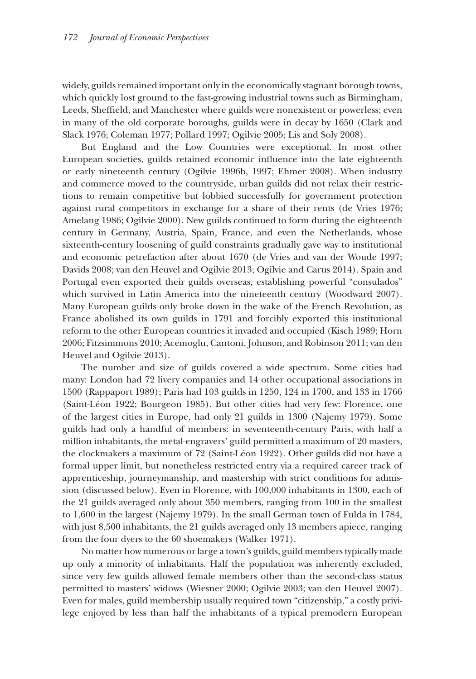widely, guilds remained important only in the economically stagnant borough towns, which quickly lost ground to the fast-growing industrial towns such as Birmingham, Leeds, Sheffield, and Manchester where guilds were nonexistent or powerless; even in many of the old corporate boroughs, guilds were in decay by 1650 (Clark and Slack 1976; Coleman 1977; Pollard 1997; Ogilvie 2005; Lis and Soly 2008).

But England and the Low Countries were exceptional. In most other European societies, guilds retained economic influence into the late eighteenth or early nineteenth century (Ogilvie 1996b, 1997; Ehmer 2008). When industry and commerce moved to the countryside, urban guilds did not relax their restrictions to remain competitive but lobbied successfully for government protection against rural competitors in exchange for a share of their rents (de Vries 1976; Amelang 1986; Ogilvie 2000). New guilds continued to form during the eighteenth century in Germany, Austria, Spain, France, and even the Netherlands, whose sixteenth-century loosening of guild constraints gradually gave way to institutional and economic petrefaction after about 1670 (de Vries and van der Woude 1997; Davids 2008; van den Heuvel and Ogilvie 2013; Ogilvie and Carus 2014). Spain and Portugal even exported their guilds overseas, establishing powerful "consulados" which survived in Latin America into the nineteenth century (Woodward 2007). Many European guilds only broke down in the wake of the French Revolution, as France abolished its own guilds in 1791 and forcibly exported this institutional reform to the other European countries it invaded and occupied (Kisch 1989; Horn 2006; Fitzsimmons 2010; Acemoglu, Cantoni, Johnson, and Robinson 2011; van den Heuvel and Ogilvie 2013).

The number and size of guilds covered a wide spectrum. Some cities had many: London had 72 livery companies and 14 other occupational associations in 1500 (Rappaport 1989); Paris had 103 guilds in 1250, 124 in 1700, and 133 in 1766 (Saint-Léon 1922; Bourgeon 1985). But other cities had very few: Florence, one of the largest cities in Europe, had only 21 guilds in 1300 (Najemy 1979). Some guilds had only a handful of members: in seventeenth-century Paris, with half a million inhabitants, the metal-engravers' guild permitted a maximum of 20 masters, the clockmakers a maximum of 72 (Saint-Léon 1922). Other guilds did not have a formal upper limit, but nonetheless restricted entry via a required career track of apprenticeship, journeymanship, and mastership with strict conditions for admission (discussed below). Even in Florence, with 100,000 inhabitants in 1300, each of the 21 guilds averaged only about 350 members, ranging from 100 in the smallest to 1,600 in the largest (Najemy 1979). In the small German town of Fulda in 1784, with just 8,500 inhabitants, the 21 guilds averaged only 13 members apiece, ranging from the four dyers to the 60 shoemakers (Walker 1971).

No matter how numerous or large a town's guilds, guild members typically made up only a minority of inhabitants. Half the population was inherently excluded, since very few guilds allowed female members other than the second-class status permitted to masters' widows (Wiesner 2000; Ogilvie 2003; van den Heuvel 2007). Even for males, guild membership usually required town "citizenship," a costly privilege enjoyed by less than half the inhabitants of a typical premodern European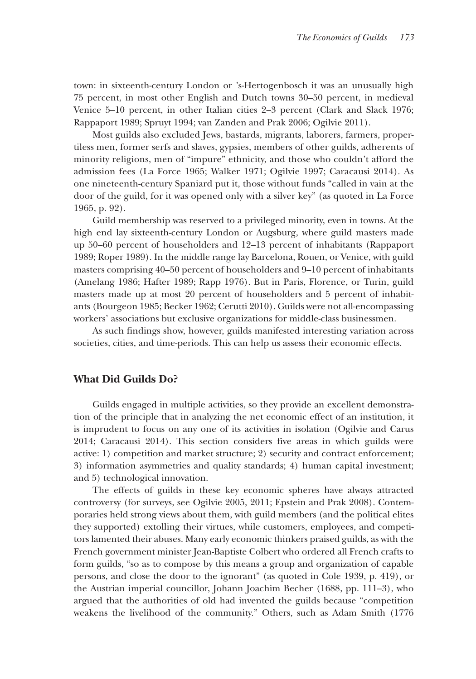town: in sixteenth-century London or 's-Hertogenbosch it was an unusually high 75 percent, in most other English and Dutch towns 30–50 percent, in medieval Venice 5–10 percent, in other Italian cities 2–3 percent (Clark and Slack 1976; Rappaport 1989; Spruyt 1994; van Zanden and Prak 2006; Ogilvie 2011).

Most guilds also excluded Jews, bastards, migrants, laborers, farmers, propertiless men, former serfs and slaves, gypsies, members of other guilds, adherents of minority religions, men of "impure" ethnicity, and those who couldn't afford the admission fees (La Force 1965; Walker 1971; Ogilvie 1997; Caracausi 2014). As one nineteenth-century Spaniard put it, those without funds "called in vain at the door of the guild, for it was opened only with a silver key" (as quoted in La Force 1965, p. 92).

Guild membership was reserved to a privileged minority, even in towns. At the high end lay sixteenth-century London or Augsburg, where guild masters made up 50–60 percent of householders and 12–13 percent of inhabitants (Rappaport 1989; Roper 1989). In the middle range lay Barcelona, Rouen, or Venice, with guild masters comprising 40–50 percent of householders and 9–10 percent of inhabitants (Amelang 1986; Hafter 1989; Rapp 1976). But in Paris, Florence, or Turin, guild masters made up at most 20 percent of householders and 5 percent of inhabitants (Bourgeon 1985; Becker 1962; Cerutti 2010). Guilds were not all-encompassing workers' associations but exclusive organizations for middle-class businessmen.

As such findings show, however, guilds manifested interesting variation across societies, cities, and time-periods. This can help us assess their economic effects.

## **What Did Guilds Do?**

Guilds engaged in multiple activities, so they provide an excellent demonstration of the principle that in analyzing the net economic effect of an institution, it is imprudent to focus on any one of its activities in isolation (Ogilvie and Carus 2014; Caracausi 2014). This section considers five areas in which guilds were active: 1) competition and market structure; 2) security and contract enforcement; 3) information asymmetries and quality standards; 4) human capital investment; and 5) technological innovation.

The effects of guilds in these key economic spheres have always attracted controversy (for surveys, see Ogilvie 2005, 2011; Epstein and Prak 2008). Contemporaries held strong views about them, with guild members (and the political elites they supported) extolling their virtues, while customers, employees, and competitors lamented their abuses. Many early economic thinkers praised guilds, as with the French government minister Jean-Baptiste Colbert who ordered all French crafts to form guilds, "so as to compose by this means a group and organization of capable persons, and close the door to the ignorant" (as quoted in Cole 1939, p. 419), or the Austrian imperial councillor, Johann Joachim Becher (1688, pp. 111–3), who argued that the authorities of old had invented the guilds because "competition weakens the livelihood of the community." Others, such as Adam Smith (1776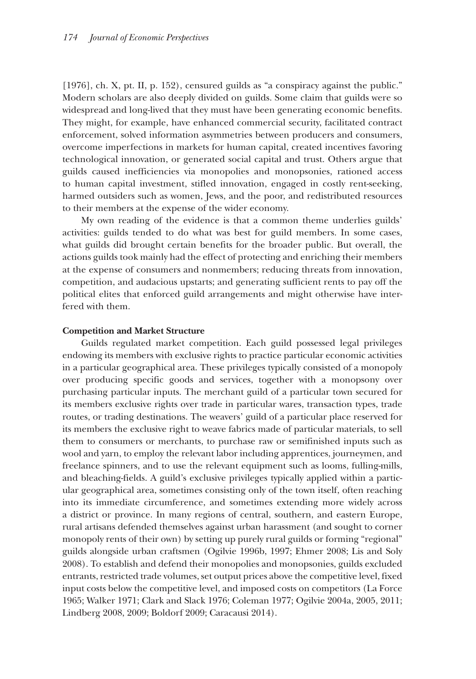[1976], ch. X, pt. II, p. 152), censured guilds as "a conspiracy against the public." Modern scholars are also deeply divided on guilds. Some claim that guilds were so widespread and long-lived that they must have been generating economic benefits. They might, for example, have enhanced commercial security, facilitated contract enforcement, solved information asymmetries between producers and consumers, overcome imperfections in markets for human capital, created incentives favoring technological innovation, or generated social capital and trust. Others argue that guilds caused inefficiencies via monopolies and monopsonies, rationed access to human capital investment, stifled innovation, engaged in costly rent-seeking, harmed outsiders such as women, Jews, and the poor, and redistributed resources to their members at the expense of the wider economy.

My own reading of the evidence is that a common theme underlies guilds' activities: guilds tended to do what was best for guild members. In some cases, what guilds did brought certain benefits for the broader public. But overall, the actions guilds took mainly had the effect of protecting and enriching their members at the expense of consumers and nonmembers; reducing threats from innovation, competition, and audacious upstarts; and generating sufficient rents to pay off the political elites that enforced guild arrangements and might otherwise have interfered with them.

#### **Competition and Market Structure**

Guilds regulated market competition. Each guild possessed legal privileges endowing its members with exclusive rights to practice particular economic activities in a particular geographical area. These privileges typically consisted of a monopoly over producing specific goods and services, together with a monopsony over purchasing particular inputs. The merchant guild of a particular town secured for its members exclusive rights over trade in particular wares, transaction types, trade routes, or trading destinations. The weavers' guild of a particular place reserved for its members the exclusive right to weave fabrics made of particular materials, to sell them to consumers or merchants, to purchase raw or semifinished inputs such as wool and yarn, to employ the relevant labor including apprentices, journeymen, and freelance spinners, and to use the relevant equipment such as looms, fulling-mills, and bleaching-fields. A guild's exclusive privileges typically applied within a particular geographical area, sometimes consisting only of the town itself, often reaching into its immediate circumference, and sometimes extending more widely across a district or province. In many regions of central, southern, and eastern Europe, rural artisans defended themselves against urban harassment (and sought to corner monopoly rents of their own) by setting up purely rural guilds or forming "regional" guilds alongside urban craftsmen (Ogilvie 1996b, 1997; Ehmer 2008; Lis and Soly 2008). To establish and defend their monopolies and monopsonies, guilds excluded entrants, restricted trade volumes, set output prices above the competitive level, fixed input costs below the competitive level, and imposed costs on competitors (La Force 1965; Walker 1971; Clark and Slack 1976; Coleman 1977; Ogilvie 2004a, 2005, 2011; Lindberg 2008, 2009; Boldorf 2009; Caracausi 2014).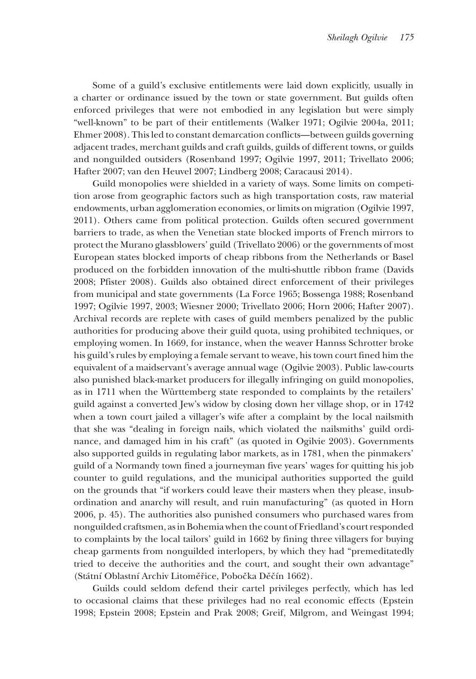Some of a guild's exclusive entitlements were laid down explicitly, usually in a charter or ordinance issued by the town or state government. But guilds often enforced privileges that were not embodied in any legislation but were simply "well-known" to be part of their entitlements (Walker 1971; Ogilvie 2004a, 2011; Ehmer 2008). This led to constant demarcation conflicts—between guilds governing adjacent trades, merchant guilds and craft guilds, guilds of different towns, or guilds and nonguilded outsiders (Rosenband 1997; Ogilvie 1997, 2011; Trivellato 2006; Hafter 2007; van den Heuvel 2007; Lindberg 2008; Caracausi 2014).

Guild monopolies were shielded in a variety of ways. Some limits on competition arose from geographic factors such as high transportation costs, raw material endowments, urban agglomeration economies, or limits on migration (Ogilvie 1997, 2011). Others came from political protection. Guilds often secured government barriers to trade, as when the Venetian state blocked imports of French mirrors to protect the Murano glassblowers' guild (Trivellato 2006) or the governments of most European states blocked imports of cheap ribbons from the Netherlands or Basel produced on the forbidden innovation of the multi-shuttle ribbon frame (Davids 2008; Pfister 2008). Guilds also obtained direct enforcement of their privileges from municipal and state governments (La Force 1965; Bossenga 1988; Rosenband 1997; Ogilvie 1997, 2003; Wiesner 2000; Trivellato 2006; Horn 2006; Hafter 2007). Archival records are replete with cases of guild members penalized by the public authorities for producing above their guild quota, using prohibited techniques, or employing women. In 1669, for instance, when the weaver Hannss Schrotter broke his guild's rules by employing a female servant to weave, his town court fined him the equivalent of a maidservant's average annual wage (Ogilvie 2003). Public law-courts also punished black-market producers for illegally infringing on guild monopolies, as in 1711 when the Württemberg state responded to complaints by the retailers' guild against a converted Jew's widow by closing down her village shop, or in 1742 when a town court jailed a villager's wife after a complaint by the local nailsmith that she was "dealing in foreign nails, which violated the nailsmiths' guild ordinance, and damaged him in his craft" (as quoted in Ogilvie 2003). Governments also supported guilds in regulating labor markets, as in 1781, when the pinmakers' guild of a Normandy town fined a journeyman five years' wages for quitting his job counter to guild regulations, and the municipal authorities supported the guild on the grounds that "if workers could leave their masters when they please, insubordination and anarchy will result, and ruin manufacturing" (as quoted in Horn 2006, p. 45). The authorities also punished consumers who purchased wares from nonguilded craftsmen, as in Bohemia when the count of Friedland's court responded to complaints by the local tailors' guild in 1662 by fining three villagers for buying cheap garments from nonguilded interlopers, by which they had "premeditatedly tried to deceive the authorities and the court, and sought their own advantage" (Státní Oblastní Archiv Litoměřice, Pobočka Děčín 1662).

Guilds could seldom defend their cartel privileges perfectly, which has led to occasional claims that these privileges had no real economic effects (Epstein 1998; Epstein 2008; Epstein and Prak 2008; Greif, Milgrom, and Weingast 1994;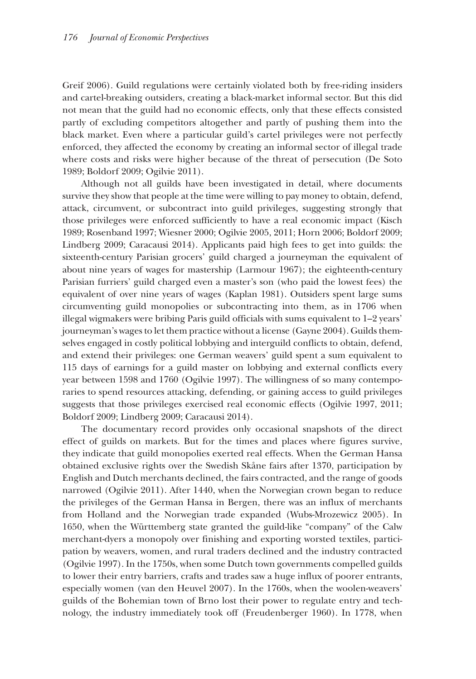Greif 2006). Guild regulations were certainly violated both by free-riding insiders and cartel-breaking outsiders, creating a black-market informal sector. But this did not mean that the guild had no economic effects, only that these effects consisted partly of excluding competitors altogether and partly of pushing them into the black market. Even where a particular guild's cartel privileges were not perfectly enforced, they affected the economy by creating an informal sector of illegal trade where costs and risks were higher because of the threat of persecution (De Soto 1989; Boldorf 2009; Ogilvie 2011).

Although not all guilds have been investigated in detail, where documents survive they show that people at the time were willing to pay money to obtain, defend, attack, circumvent, or subcontract into guild privileges, suggesting strongly that those privileges were enforced sufficiently to have a real economic impact (Kisch 1989; Rosenband 1997; Wiesner 2000; Ogilvie 2005, 2011; Horn 2006; Boldorf 2009; Lindberg 2009; Caracausi 2014). Applicants paid high fees to get into guilds: the sixteenth-century Parisian grocers' guild charged a journeyman the equivalent of about nine years of wages for mastership (Larmour 1967); the eighteenth-century Parisian furriers' guild charged even a master's son (who paid the lowest fees) the equivalent of over nine years of wages (Kaplan 1981). Outsiders spent large sums circumventing guild monopolies or subcontracting into them, as in 1706 when illegal wigmakers were bribing Paris guild officials with sums equivalent to 1–2 years' journeyman's wages to let them practice without a license (Gayne 2004). Guilds themselves engaged in costly political lobbying and interguild conflicts to obtain, defend, and extend their privileges: one German weavers' guild spent a sum equivalent to 115 days of earnings for a guild master on lobbying and external conflicts every year between 1598 and 1760 (Ogilvie 1997). The willingness of so many contemporaries to spend resources attacking, defending, or gaining access to guild privileges suggests that those privileges exercised real economic effects (Ogilvie 1997, 2011; Boldorf 2009; Lindberg 2009; Caracausi 2014).

The documentary record provides only occasional snapshots of the direct effect of guilds on markets. But for the times and places where figures survive, they indicate that guild monopolies exerted real effects. When the German Hansa obtained exclusive rights over the Swedish Skåne fairs after 1370, participation by English and Dutch merchants declined, the fairs contracted, and the range of goods narrowed (Ogilvie 2011). After 1440, when the Norwegian crown began to reduce the privileges of the German Hansa in Bergen, there was an influx of merchants from Holland and the Norwegian trade expanded (Wubs-Mrozewicz 2005). In 1650, when the Württemberg state granted the guild-like "company" of the Calw merchant-dyers a monopoly over finishing and exporting worsted textiles, participation by weavers, women, and rural traders declined and the industry contracted (Ogilvie 1997). In the 1750s, when some Dutch town governments compelled guilds to lower their entry barriers, crafts and trades saw a huge influx of poorer entrants, especially women (van den Heuvel 2007). In the 1760s, when the woolen-weavers' guilds of the Bohemian town of Brno lost their power to regulate entry and technology, the industry immediately took off (Freudenberger 1960). In 1778, when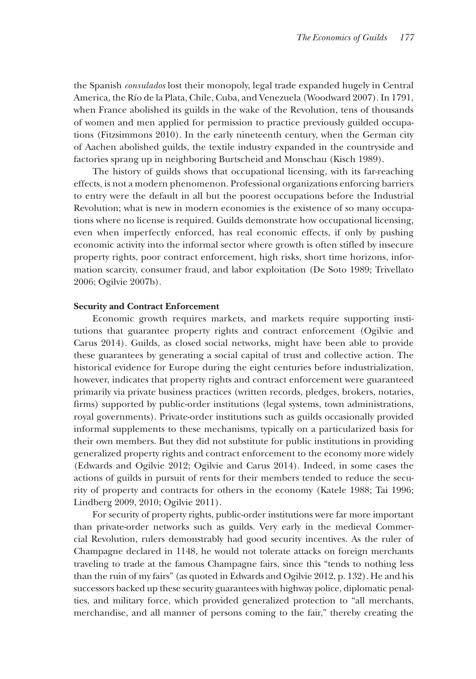the Spanish *consulados* lost their monopoly, legal trade expanded hugely in Central America, the Río de la Plata, Chile, Cuba, and Venezuela (Woodward 2007). In 1791, when France abolished its guilds in the wake of the Revolution, tens of thousands of women and men applied for permission to practice previously guilded occupations (Fitzsimmons 2010). In the early nineteenth century, when the German city of Aachen abolished guilds, the textile industry expanded in the countryside and factories sprang up in neighboring Burtscheid and Monschau (Kisch 1989).

The history of guilds shows that occupational licensing, with its far-reaching effects, is not a modern phenomenon. Professional organizations enforcing barriers to entry were the default in all but the poorest occupations before the Industrial Revolution; what is new in modern economies is the existence of so many occupations where no license is required. Guilds demonstrate how occupational licensing, even when imperfectly enforced, has real economic effects, if only by pushing economic activity into the informal sector where growth is often stifled by insecure property rights, poor contract enforcement, high risks, short time horizons, information scarcity, consumer fraud, and labor exploitation (De Soto 1989; Trivellato 2006; Ogilvie 2007b).

#### **Security and Contract Enforcement**

Economic growth requires markets, and markets require supporting institutions that guarantee property rights and contract enforcement (Ogilvie and Carus 2014). Guilds, as closed social networks, might have been able to provide these guarantees by generating a social capital of trust and collective action. The historical evidence for Europe during the eight centuries before industrialization, however, indicates that property rights and contract enforcement were guaranteed primarily via private business practices (written records, pledges, brokers, notaries, firms) supported by public-order institutions (legal systems, town administrations, royal governments). Private-order institutions such as guilds occasionally provided informal supplements to these mechanisms, typically on a particularized basis for their own members. But they did not substitute for public institutions in providing generalized property rights and contract enforcement to the economy more widely (Edwards and Ogilvie 2012; Ogilvie and Carus 2014). Indeed, in some cases the actions of guilds in pursuit of rents for their members tended to reduce the security of property and contracts for others in the economy (Katele 1988; Tai 1996; Lindberg 2009, 2010; Ogilvie 2011).

For security of property rights, public-order institutions were far more important than private-order networks such as guilds. Very early in the medieval Commercial Revolution, rulers demonstrably had good security incentives. As the ruler of Champagne declared in 1148, he would not tolerate attacks on foreign merchants traveling to trade at the famous Champagne fairs, since this "tends to nothing less than the ruin of my fairs" (as quoted in Edwards and Ogilvie 2012, p. 132). He and his successors backed up these security guarantees with highway police, diplomatic penalties, and military force, which provided generalized protection to "all merchants, merchandise, and all manner of persons coming to the fair," thereby creating the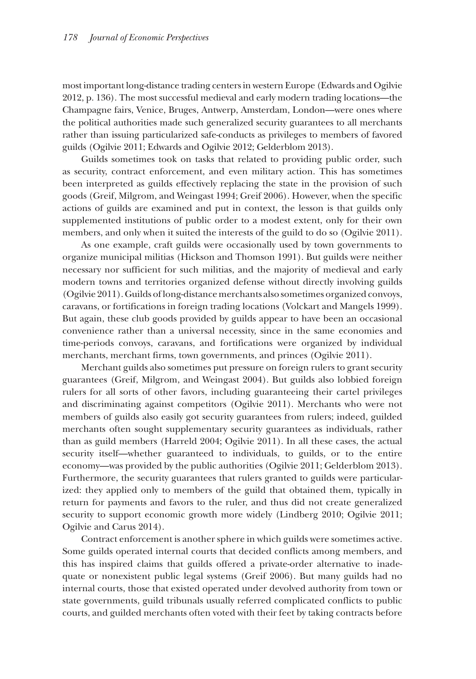most important long-distance trading centers in western Europe (Edwards and Ogilvie 2012, p. 136). The most successful medieval and early modern trading locations—the Champagne fairs, Venice, Bruges, Antwerp, Amsterdam, London—were ones where the political authorities made such generalized security guarantees to all merchants rather than issuing particularized safe-conducts as privileges to members of favored guilds (Ogilvie 2011; Edwards and Ogilvie 2012; Gelderblom 2013).

Guilds sometimes took on tasks that related to providing public order, such as security, contract enforcement, and even military action. This has sometimes been interpreted as guilds effectively replacing the state in the provision of such goods (Greif, Milgrom, and Weingast 1994; Greif 2006). However, when the specific actions of guilds are examined and put in context, the lesson is that guilds only supplemented institutions of public order to a modest extent, only for their own members, and only when it suited the interests of the guild to do so (Ogilvie 2011).

As one example, craft guilds were occasionally used by town governments to organize municipal militias (Hickson and Thomson 1991). But guilds were neither necessary nor sufficient for such militias, and the majority of medieval and early modern towns and territories organized defense without directly involving guilds (Ogilvie 2011). Guilds of long-distance merchants also sometimes organized convoys, caravans, or fortifications in foreign trading locations (Volckart and Mangels 1999). But again, these club goods provided by guilds appear to have been an occasional convenience rather than a universal necessity, since in the same economies and time-periods convoys, caravans, and fortifications were organized by individual merchants, merchant firms, town governments, and princes (Ogilvie 2011).

Merchant guilds also sometimes put pressure on foreign rulers to grant security guarantees (Greif, Milgrom, and Weingast 2004). But guilds also lobbied foreign rulers for all sorts of other favors, including guaranteeing their cartel privileges and discriminating against competitors (Ogilvie 2011). Merchants who were not members of guilds also easily got security guarantees from rulers; indeed, guilded merchants often sought supplementary security guarantees as individuals, rather than as guild members (Harreld 2004; Ogilvie 2011). In all these cases, the actual security itself—whether guaranteed to individuals, to guilds, or to the entire economy—was provided by the public authorities (Ogilvie 2011; Gelderblom 2013). Furthermore, the security guarantees that rulers granted to guilds were particularized: they applied only to members of the guild that obtained them, typically in return for payments and favors to the ruler, and thus did not create generalized security to support economic growth more widely (Lindberg 2010; Ogilvie 2011; Ogilvie and Carus 2014).

Contract enforcement is another sphere in which guilds were sometimes active. Some guilds operated internal courts that decided conflicts among members, and this has inspired claims that guilds offered a private-order alternative to inadequate or nonexistent public legal systems (Greif 2006). But many guilds had no internal courts, those that existed operated under devolved authority from town or state governments, guild tribunals usually referred complicated conflicts to public courts, and guilded merchants often voted with their feet by taking contracts before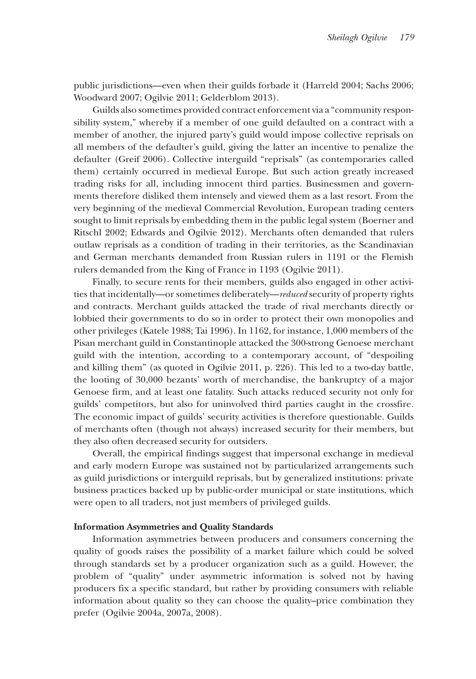public jurisdictions—even when their guilds forbade it (Harreld 2004; Sachs 2006; Woodward 2007; Ogilvie 2011; Gelderblom 2013).

Guilds also sometimes provided contract enforcement via a "community responsibility system," whereby if a member of one guild defaulted on a contract with a member of another, the injured party's guild would impose collective reprisals on all members of the defaulter's guild, giving the latter an incentive to penalize the defaulter (Greif 2006). Collective interguild "reprisals" (as contemporaries called them) certainly occurred in medieval Europe. But such action greatly increased trading risks for all, including innocent third parties. Businessmen and governments therefore disliked them intensely and viewed them as a last resort. From the very beginning of the medieval Commercial Revolution, European trading centers sought to limit reprisals by embedding them in the public legal system (Boerner and Ritschl 2002; Edwards and Ogilvie 2012). Merchants often demanded that rulers outlaw reprisals as a condition of trading in their territories, as the Scandinavian and German merchants demanded from Russian rulers in 1191 or the Flemish rulers demanded from the King of France in 1193 (Ogilvie 2011).

Finally, to secure rents for their members, guilds also engaged in other activities that incidentally—or sometimes deliberately—*reduced* security of property rights and contracts. Merchant guilds attacked the trade of rival merchants directly or lobbied their governments to do so in order to protect their own monopolies and other privileges (Katele 1988; Tai 1996). In 1162, for instance, 1,000 members of the Pisan merchant guild in Constantinople attacked the 300-strong Genoese merchant guild with the intention, according to a contemporary account, of "despoiling and killing them" (as quoted in Ogilvie 2011, p. 226). This led to a two-day battle, the looting of 30,000 bezants' worth of merchandise, the bankruptcy of a major Genoese firm, and at least one fatality. Such attacks reduced security not only for guilds' competitors, but also for uninvolved third parties caught in the crossfire. The economic impact of guilds' security activities is therefore questionable. Guilds of merchants often (though not always) increased security for their members, but they also often decreased security for outsiders.

Overall, the empirical findings suggest that impersonal exchange in medieval and early modern Europe was sustained not by particularized arrangements such as guild jurisdictions or interguild reprisals, but by generalized institutions: private business practices backed up by public-order municipal or state institutions, which were open to all traders, not just members of privileged guilds.

#### **Information Asymmetries and Quality Standards**

Information asymmetries between producers and consumers concerning the quality of goods raises the possibility of a market failure which could be solved through standards set by a producer organization such as a guild. However, the problem of "quality" under asymmetric information is solved not by having producers fix a specific standard, but rather by providing consumers with reliable information about quality so they can choose the quality–price combination they prefer (Ogilvie 2004a, 2007a, 2008).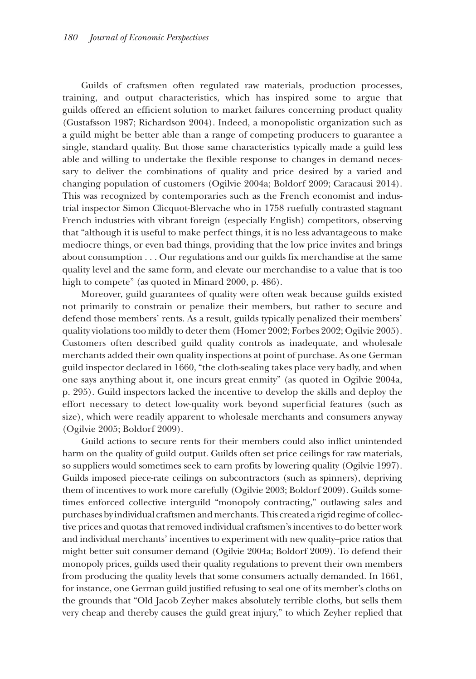Guilds of craftsmen often regulated raw materials, production processes, training, and output characteristics, which has inspired some to argue that guilds offered an efficient solution to market failures concerning product quality (Gustafsson 1987; Richardson 2004). Indeed, a monopolistic organization such as a guild might be better able than a range of competing producers to guarantee a single, standard quality. But those same characteristics typically made a guild less able and willing to undertake the flexible response to changes in demand necessary to deliver the combinations of quality and price desired by a varied and changing population of customers (Ogilvie 2004a; Boldorf 2009; Caracausi 2014). This was recognized by contemporaries such as the French economist and industrial inspector Simon Clicquot-Blervache who in 1758 ruefully contrasted stagnant French industries with vibrant foreign (especially English) competitors, observing that "although it is useful to make perfect things, it is no less advantageous to make mediocre things, or even bad things, providing that the low price invites and brings about consumption . . . Our regulations and our guilds fix merchandise at the same quality level and the same form, and elevate our merchandise to a value that is too high to compete" (as quoted in Minard 2000, p. 486).

Moreover, guild guarantees of quality were often weak because guilds existed not primarily to constrain or penalize their members, but rather to secure and defend those members' rents. As a result, guilds typically penalized their members' quality violations too mildly to deter them (Homer 2002; Forbes 2002; Ogilvie 2005). Customers often described guild quality controls as inadequate, and wholesale merchants added their own quality inspections at point of purchase. As one German guild inspector declared in 1660, "the cloth-sealing takes place very badly, and when one says anything about it, one incurs great enmity" (as quoted in Ogilvie 2004a, p. 295). Guild inspectors lacked the incentive to develop the skills and deploy the effort necessary to detect low-quality work beyond superficial features (such as size), which were readily apparent to wholesale merchants and consumers anyway (Ogilvie 2005; Boldorf 2009).

Guild actions to secure rents for their members could also inflict unintended harm on the quality of guild output. Guilds often set price ceilings for raw materials, so suppliers would sometimes seek to earn profits by lowering quality (Ogilvie 1997). Guilds imposed piece-rate ceilings on subcontractors (such as spinners), depriving them of incentives to work more carefully (Ogilvie 2003; Boldorf 2009). Guilds sometimes enforced collective interguild "monopoly contracting," outlawing sales and purchases by individual craftsmen and merchants. This created a rigid regime of collective prices and quotas that removed individual craftsmen's incentives to do better work and individual merchants' incentives to experiment with new quality–price ratios that might better suit consumer demand (Ogilvie 2004a; Boldorf 2009). To defend their monopoly prices, guilds used their quality regulations to prevent their own members from producing the quality levels that some consumers actually demanded. In 1661, for instance, one German guild justified refusing to seal one of its member's cloths on the grounds that "Old Jacob Zeyher makes absolutely terrible cloths, but sells them very cheap and thereby causes the guild great injury," to which Zeyher replied that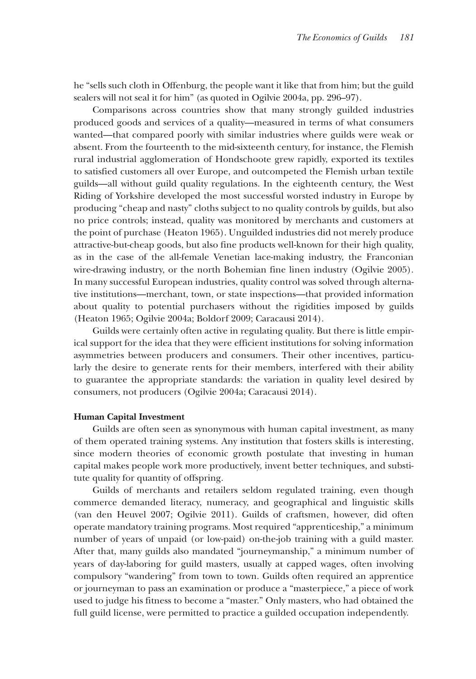he "sells such cloth in Offenburg, the people want it like that from him; but the guild sealers will not seal it for him" (as quoted in Ogilvie 2004a, pp. 296–97).

Comparisons across countries show that many strongly guilded industries produced goods and services of a quality—measured in terms of what consumers wanted—that compared poorly with similar industries where guilds were weak or absent. From the fourteenth to the mid-sixteenth century, for instance, the Flemish rural industrial agglomeration of Hondschoote grew rapidly, exported its textiles to satisfied customers all over Europe, and outcompeted the Flemish urban textile guilds—all without guild quality regulations. In the eighteenth century, the West Riding of Yorkshire developed the most successful worsted industry in Europe by producing "cheap and nasty" cloths subject to no quality controls by guilds, but also no price controls; instead, quality was monitored by merchants and customers at the point of purchase (Heaton 1965). Unguilded industries did not merely produce attractive-but-cheap goods, but also fine products well-known for their high quality, as in the case of the all-female Venetian lace-making industry, the Franconian wire-drawing industry, or the north Bohemian fine linen industry (Ogilvie 2005). In many successful European industries, quality control was solved through alternative institutions—merchant, town, or state inspections—that provided information about quality to potential purchasers without the rigidities imposed by guilds (Heaton 1965; Ogilvie 2004a; Boldorf 2009; Caracausi 2014).

Guilds were certainly often active in regulating quality. But there is little empirical support for the idea that they were efficient institutions for solving information asymmetries between producers and consumers. Their other incentives, particularly the desire to generate rents for their members, interfered with their ability to guarantee the appropriate standards: the variation in quality level desired by consumers, not producers (Ogilvie 2004a; Caracausi 2014).

#### **Human Capital Investment**

Guilds are often seen as synonymous with human capital investment, as many of them operated training systems. Any institution that fosters skills is interesting, since modern theories of economic growth postulate that investing in human capital makes people work more productively, invent better techniques, and substitute quality for quantity of offspring.

Guilds of merchants and retailers seldom regulated training, even though commerce demanded literacy, numeracy, and geographical and linguistic skills (van den Heuvel 2007; Ogilvie 2011). Guilds of craftsmen, however, did often operate mandatory training programs. Most required "apprenticeship," a minimum number of years of unpaid (or low-paid) on-the-job training with a guild master. After that, many guilds also mandated "journeymanship," a minimum number of years of day-laboring for guild masters, usually at capped wages, often involving compulsory "wandering" from town to town. Guilds often required an apprentice or journeyman to pass an examination or produce a "masterpiece," a piece of work used to judge his fitness to become a "master." Only masters, who had obtained the full guild license, were permitted to practice a guilded occupation independently.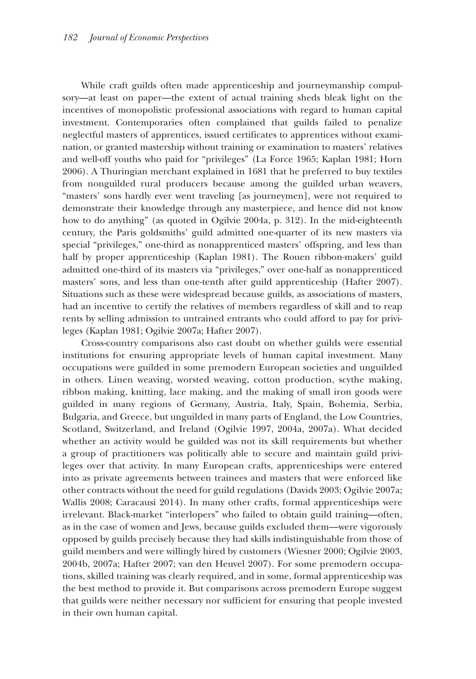While craft guilds often made apprenticeship and journeymanship compulsory—at least on paper—the extent of actual training sheds bleak light on the incentives of monopolistic professional associations with regard to human capital investment. Contemporaries often complained that guilds failed to penalize neglectful masters of apprentices, issued certificates to apprentices without examination, or granted mastership without training or examination to masters' relatives and well-off youths who paid for "privileges" (La Force 1965; Kaplan 1981; Horn 2006). A Thuringian merchant explained in 1681 that he preferred to buy textiles from nonguilded rural producers because among the guilded urban weavers, "masters' sons hardly ever went traveling [as journeymen], were not required to demonstrate their knowledge through any masterpiece, and hence did not know how to do anything" (as quoted in Ogilvie 2004a, p. 312). In the mid-eighteenth century, the Paris goldsmiths' guild admitted one-quarter of its new masters via special "privileges," one-third as nonapprenticed masters' offspring, and less than half by proper apprenticeship (Kaplan 1981). The Rouen ribbon-makers' guild admitted one-third of its masters via "privileges," over one-half as nonapprenticed masters' sons, and less than one-tenth after guild apprenticeship (Hafter 2007). Situations such as these were widespread because guilds, as associations of masters, had an incentive to certify the relatives of members regardless of skill and to reap rents by selling admission to untrained entrants who could afford to pay for privileges (Kaplan 1981; Ogilvie 2007a; Hafter 2007).

Cross-country comparisons also cast doubt on whether guilds were essential institutions for ensuring appropriate levels of human capital investment. Many occupations were guilded in some premodern European societies and unguilded in others. Linen weaving, worsted weaving, cotton production, scythe making, ribbon making, knitting, lace making, and the making of small iron goods were guilded in many regions of Germany, Austria, Italy, Spain, Bohemia, Serbia, Bulgaria, and Greece, but unguilded in many parts of England, the Low Countries, Scotland, Switzerland, and Ireland (Ogilvie 1997, 2004a, 2007a). What decided whether an activity would be guilded was not its skill requirements but whether a group of practitioners was politically able to secure and maintain guild privileges over that activity. In many European crafts, apprenticeships were entered into as private agreements between trainees and masters that were enforced like other contracts without the need for guild regulations (Davids 2003; Ogilvie 2007a; Wallis 2008; Caracausi 2014). In many other crafts, formal apprenticeships were irrelevant. Black-market "interlopers" who failed to obtain guild training—often, as in the case of women and Jews, because guilds excluded them—were vigorously opposed by guilds precisely because they had skills indistinguishable from those of guild members and were willingly hired by customers (Wiesner 2000; Ogilvie 2003, 2004b, 2007a; Hafter 2007; van den Heuvel 2007). For some premodern occupations, skilled training was clearly required, and in some, formal apprenticeship was the best method to provide it. But comparisons across premodern Europe suggest that guilds were neither necessary nor sufficient for ensuring that people invested in their own human capital.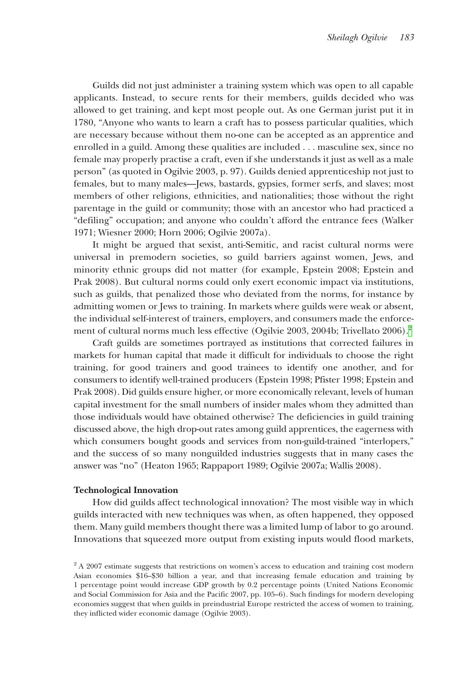Guilds did not just administer a training system which was open to all capable applicants. Instead, to secure rents for their members, guilds decided who was allowed to get training, and kept most people out. As one German jurist put it in 1780, "Anyone who wants to learn a craft has to possess particular qualities, which are necessary because without them no-one can be accepted as an apprentice and enrolled in a guild. Among these qualities are included . . . masculine sex, since no female may properly practise a craft, even if she understands it just as well as a male person" (as quoted in Ogilvie 2003, p. 97). Guilds denied apprenticeship not just to females, but to many males—Jews, bastards, gypsies, former serfs, and slaves; most members of other religions, ethnicities, and nationalities; those without the right parentage in the guild or community; those with an ancestor who had practiced a "defiling" occupation; and anyone who couldn't afford the entrance fees (Walker 1971; Wiesner 2000; Horn 2006; Ogilvie 2007a).

It might be argued that sexist, anti-Semitic, and racist cultural norms were universal in premodern societies, so guild barriers against women, Jews, and minority ethnic groups did not matter (for example, Epstein 2008; Epstein and Prak 2008). But cultural norms could only exert economic impact via institutions, such as guilds, that penalized those who deviated from the norms, for instance by admitting women or Jews to training. In markets where guilds were weak or absent, the individual self-interest of trainers, employers, and consumers made the enforcement of cultural norms much less effective (Ogilvie 2003, 2004b; Trivellato  $2006$ ).<sup>2</sup>

Craft guilds are sometimes portrayed as institutions that corrected failures in markets for human capital that made it difficult for individuals to choose the right training, for good trainers and good trainees to identify one another, and for consumers to identify well-trained producers (Epstein 1998; Pfister 1998; Epstein and Prak 2008). Did guilds ensure higher, or more economically relevant, levels of human capital investment for the small numbers of insider males whom they admitted than those individuals would have obtained otherwise? The deficiencies in guild training discussed above, the high drop-out rates among guild apprentices, the eagerness with which consumers bought goods and services from non-guild-trained "interlopers," and the success of so many nonguilded industries suggests that in many cases the answer was "no" (Heaton 1965; Rappaport 1989; Ogilvie 2007a; Wallis 2008).

#### **Technological Innovation**

How did guilds affect technological innovation? The most visible way in which guilds interacted with new techniques was when, as often happened, they opposed them. Many guild members thought there was a limited lump of labor to go around. Innovations that squeezed more output from existing inputs would flood markets,

<span id="page-14-0"></span> $2^2$  A 2007 estimate suggests that restrictions on women's access to education and training cost modern Asian economies \$16–\$30 billion a year, and that increasing female education and training by 1 percentage point would increase GDP growth by 0.2 percentage points (United Nations Economic and Social Commission for Asia and the Pacific 2007, pp. 105–6). Such findings for modern developing economies suggest that when guilds in preindustrial Europe restricted the access of women to training, they inflicted wider economic damage (Ogilvie 2003).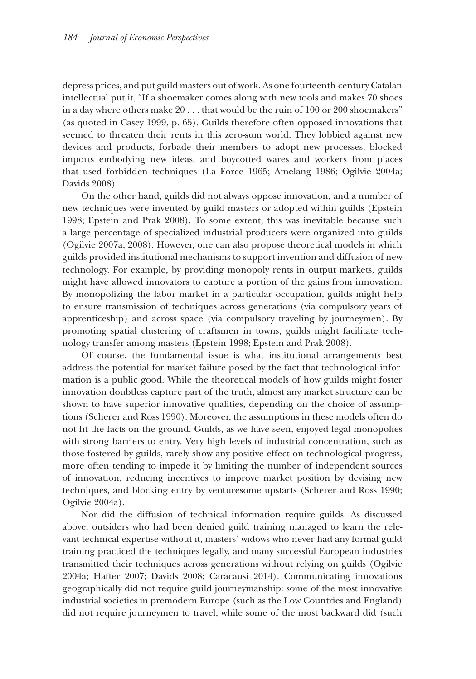depress prices, and put guild masters out of work. As one fourteenth-century Catalan intellectual put it, "If a shoemaker comes along with new tools and makes 70 shoes in a day where others make 20 . . . that would be the ruin of 100 or 200 shoemakers" (as quoted in Casey 1999, p. 65). Guilds therefore often opposed innovations that seemed to threaten their rents in this zero-sum world. They lobbied against new devices and products, forbade their members to adopt new processes, blocked imports embodying new ideas, and boycotted wares and workers from places that used forbidden techniques (La Force 1965; Amelang 1986; Ogilvie 2004a; Davids 2008).

On the other hand, guilds did not always oppose innovation, and a number of new techniques were invented by guild masters or adopted within guilds (Epstein 1998; Epstein and Prak 2008). To some extent, this was inevitable because such a large percentage of specialized industrial producers were organized into guilds (Ogilvie 2007a, 2008). However, one can also propose theoretical models in which guilds provided institutional mechanisms to support invention and diffusion of new technology. For example, by providing monopoly rents in output markets, guilds might have allowed innovators to capture a portion of the gains from innovation. By monopolizing the labor market in a particular occupation, guilds might help to ensure transmission of techniques across generations (via compulsory years of apprenticeship) and across space (via compulsory traveling by journeymen). By promoting spatial clustering of craftsmen in towns, guilds might facilitate technology transfer among masters (Epstein 1998; Epstein and Prak 2008).

Of course, the fundamental issue is what institutional arrangements best address the potential for market failure posed by the fact that technological information is a public good. While the theoretical models of how guilds might foster innovation doubtless capture part of the truth, almost any market structure can be shown to have superior innovative qualities, depending on the choice of assumptions (Scherer and Ross 1990). Moreover, the assumptions in these models often do not fit the facts on the ground. Guilds, as we have seen, enjoyed legal monopolies with strong barriers to entry. Very high levels of industrial concentration, such as those fostered by guilds, rarely show any positive effect on technological progress, more often tending to impede it by limiting the number of independent sources of innovation, reducing incentives to improve market position by devising new techniques, and blocking entry by venturesome upstarts (Scherer and Ross 1990; Ogilvie 2004a).

Nor did the diffusion of technical information require guilds. As discussed above, outsiders who had been denied guild training managed to learn the relevant technical expertise without it, masters' widows who never had any formal guild training practiced the techniques legally, and many successful European industries transmitted their techniques across generations without relying on guilds (Ogilvie 2004a; Hafter 2007; Davids 2008; Caracausi 2014). Communicating innovations geographically did not require guild journeymanship: some of the most innovative industrial societies in premodern Europe (such as the Low Countries and England) did not require journeymen to travel, while some of the most backward did (such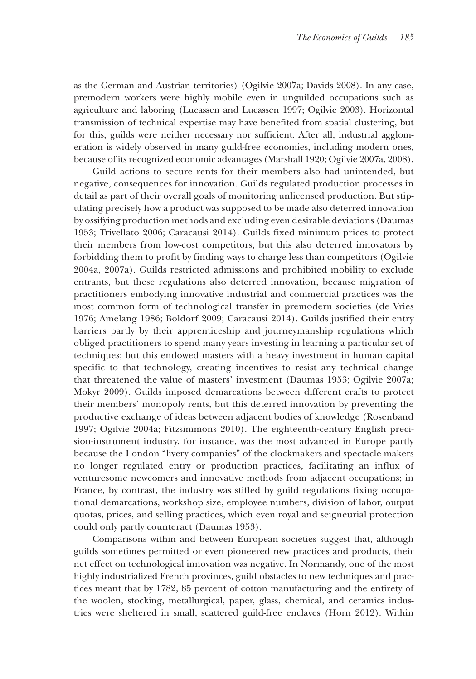as the German and Austrian territories) (Ogilvie 2007a; Davids 2008). In any case, premodern workers were highly mobile even in unguilded occupations such as agriculture and laboring (Lucassen and Lucassen 1997; Ogilvie 2003). Horizontal transmission of technical expertise may have benefited from spatial clustering, but for this, guilds were neither necessary nor sufficient. After all, industrial agglomeration is widely observed in many guild-free economies, including modern ones, because of its recognized economic advantages (Marshall 1920; Ogilvie 2007a, 2008).

Guild actions to secure rents for their members also had unintended, but negative, consequences for innovation. Guilds regulated production processes in detail as part of their overall goals of monitoring unlicensed production. But stipulating precisely how a product was supposed to be made also deterred innovation by ossifying production methods and excluding even desirable deviations (Daumas 1953; Trivellato 2006; Caracausi 2014). Guilds fixed minimum prices to protect their members from low-cost competitors, but this also deterred innovators by forbidding them to profit by finding ways to charge less than competitors (Ogilvie 2004a, 2007a). Guilds restricted admissions and prohibited mobility to exclude entrants, but these regulations also deterred innovation, because migration of practitioners embodying innovative industrial and commercial practices was the most common form of technological transfer in premodern societies (de Vries 1976; Amelang 1986; Boldorf 2009; Caracausi 2014). Guilds justified their entry barriers partly by their apprenticeship and journeymanship regulations which obliged practitioners to spend many years investing in learning a particular set of techniques; but this endowed masters with a heavy investment in human capital specific to that technology, creating incentives to resist any technical change that threatened the value of masters' investment (Daumas 1953; Ogilvie 2007a; Mokyr 2009). Guilds imposed demarcations between different crafts to protect their members' monopoly rents, but this deterred innovation by preventing the productive exchange of ideas between adjacent bodies of knowledge (Rosenband 1997; Ogilvie 2004a; Fitzsimmons 2010). The eighteenth-century English precision-instrument industry, for instance, was the most advanced in Europe partly because the London "livery companies" of the clockmakers and spectacle-makers no longer regulated entry or production practices, facilitating an influx of venturesome newcomers and innovative methods from adjacent occupations; in France, by contrast, the industry was stifled by guild regulations fixing occupational demarcations, workshop size, employee numbers, division of labor, output quotas, prices, and selling practices, which even royal and seigneurial protection could only partly counteract (Daumas 1953).

Comparisons within and between European societies suggest that, although guilds sometimes permitted or even pioneered new practices and products, their net effect on technological innovation was negative. In Normandy, one of the most highly industrialized French provinces, guild obstacles to new techniques and practices meant that by 1782, 85 percent of cotton manufacturing and the entirety of the woolen, stocking, metallurgical, paper, glass, chemical, and ceramics industries were sheltered in small, scattered guild-free enclaves (Horn 2012). Within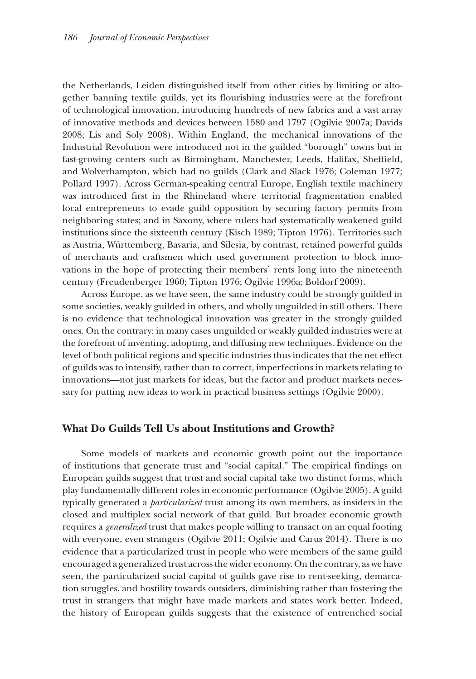the Netherlands, Leiden distinguished itself from other cities by limiting or altogether banning textile guilds, yet its flourishing industries were at the forefront of technological innovation, introducing hundreds of new fabrics and a vast array of innovative methods and devices between 1580 and 1797 (Ogilvie 2007a; Davids 2008; Lis and Soly 2008). Within England, the mechanical innovations of the Industrial Revolution were introduced not in the guilded "borough" towns but in fast-growing centers such as Birmingham, Manchester, Leeds, Halifax, Sheffield, and Wolverhampton, which had no guilds (Clark and Slack 1976; Coleman 1977; Pollard 1997). Across German-speaking central Europe, English textile machinery was introduced first in the Rhineland where territorial fragmentation enabled local entrepreneurs to evade guild opposition by securing factory permits from neighboring states; and in Saxony, where rulers had systematically weakened guild institutions since the sixteenth century (Kisch 1989; Tipton 1976). Territories such as Austria, Württemberg, Bavaria, and Silesia, by contrast, retained powerful guilds of merchants and craftsmen which used government protection to block innovations in the hope of protecting their members' rents long into the nineteenth century (Freudenberger 1960; Tipton 1976; Ogilvie 1996a; Boldorf 2009).

Across Europe, as we have seen, the same industry could be strongly guilded in some societies, weakly guilded in others, and wholly unguilded in still others. There is no evidence that technological innovation was greater in the strongly guilded ones. On the contrary: in many cases unguilded or weakly guilded industries were at the forefront of inventing, adopting, and diffusing new techniques. Evidence on the level of both political regions and specific industries thus indicates that the net effect of guilds was to intensify, rather than to correct, imperfections in markets relating to innovations—not just markets for ideas, but the factor and product markets necessary for putting new ideas to work in practical business settings (Ogilvie 2000).

### **What Do Guilds Tell Us about Institutions and Growth?**

Some models of markets and economic growth point out the importance of institutions that generate trust and "social capital." The empirical findings on European guilds suggest that trust and social capital take two distinct forms, which play fundamentally different roles in economic performance (Ogilvie 2005). A guild typically generated a *particularized* trust among its own members, as insiders in the closed and multiplex social network of that guild. But broader economic growth requires a *generalized* trust that makes people willing to transact on an equal footing with everyone, even strangers (Ogilvie 2011; Ogilvie and Carus 2014). There is no evidence that a particularized trust in people who were members of the same guild encouraged a generalized trust across the wider economy. On the contrary, as we have seen, the particularized social capital of guilds gave rise to rent-seeking, demarcation struggles, and hostility towards outsiders, diminishing rather than fostering the trust in strangers that might have made markets and states work better. Indeed, the history of European guilds suggests that the existence of entrenched social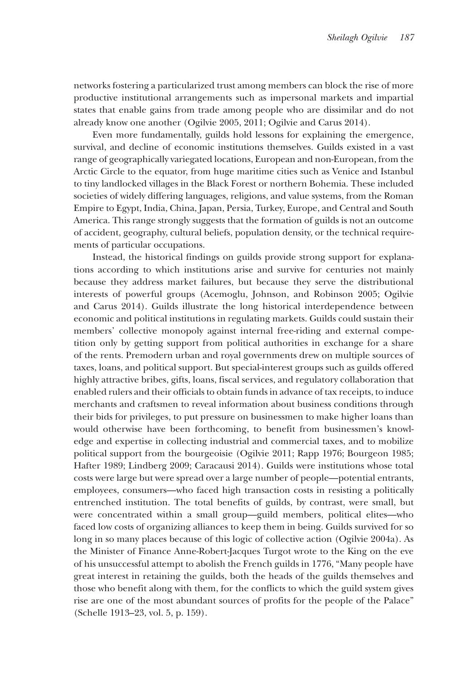networks fostering a particularized trust among members can block the rise of more productive institutional arrangements such as impersonal markets and impartial states that enable gains from trade among people who are dissimilar and do not already know one another (Ogilvie 2005, 2011; Ogilvie and Carus 2014).

Even more fundamentally, guilds hold lessons for explaining the emergence, survival, and decline of economic institutions themselves. Guilds existed in a vast range of geographically variegated locations, European and non-European, from the Arctic Circle to the equator, from huge maritime cities such as Venice and Istanbul to tiny landlocked villages in the Black Forest or northern Bohemia. These included societies of widely differing languages, religions, and value systems, from the Roman Empire to Egypt, India, China, Japan, Persia, Turkey, Europe, and Central and South America. This range strongly suggests that the formation of guilds is not an outcome of accident, geography, cultural beliefs, population density, or the technical requirements of particular occupations.

Instead, the historical findings on guilds provide strong support for explanations according to which institutions arise and survive for centuries not mainly because they address market failures, but because they serve the distributional interests of powerful groups (Acemoglu, Johnson, and Robinson 2005; Ogilvie and Carus 2014). Guilds illustrate the long historical interdependence between economic and political institutions in regulating markets. Guilds could sustain their members' collective monopoly against internal free-riding and external competition only by getting support from political authorities in exchange for a share of the rents. Premodern urban and royal governments drew on multiple sources of taxes, loans, and political support. But special-interest groups such as guilds offered highly attractive bribes, gifts, loans, fiscal services, and regulatory collaboration that enabled rulers and their officials to obtain funds in advance of tax receipts, to induce merchants and craftsmen to reveal information about business conditions through their bids for privileges, to put pressure on businessmen to make higher loans than would otherwise have been forthcoming, to benefit from businessmen's knowledge and expertise in collecting industrial and commercial taxes, and to mobilize political support from the bourgeoisie (Ogilvie 2011; Rapp 1976; Bourgeon 1985; Hafter 1989; Lindberg 2009; Caracausi 2014). Guilds were institutions whose total costs were large but were spread over a large number of people—potential entrants, employees, consumers—who faced high transaction costs in resisting a politically entrenched institution. The total benefits of guilds, by contrast, were small, but were concentrated within a small group—guild members, political elites—who faced low costs of organizing alliances to keep them in being. Guilds survived for so long in so many places because of this logic of collective action (Ogilvie 2004a). As the Minister of Finance Anne-Robert-Jacques Turgot wrote to the King on the eve of his unsuccessful attempt to abolish the French guilds in 1776, "Many people have great interest in retaining the guilds, both the heads of the guilds themselves and those who benefit along with them, for the conflicts to which the guild system gives rise are one of the most abundant sources of profits for the people of the Palace" (Schelle 1913–23, vol. 5, p. 159).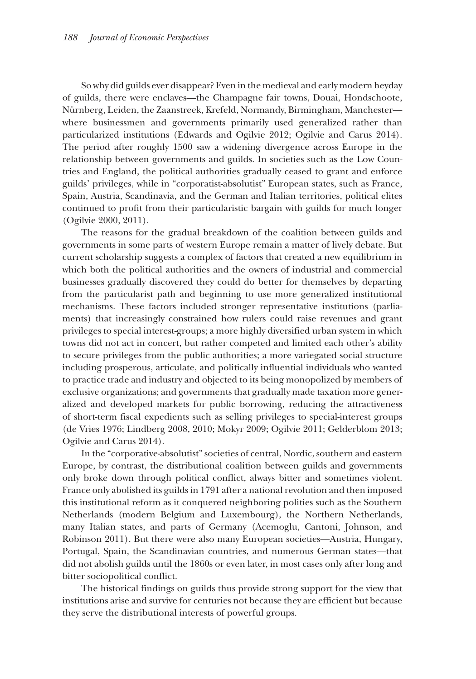So why did guilds ever disappear? Even in the medieval and early modern heyday of guilds, there were enclaves—the Champagne fair towns, Douai, Hondschoote, Nürnberg, Leiden, the Zaanstreek, Krefeld, Normandy, Birmingham, Manchester where businessmen and governments primarily used generalized rather than particularized institutions (Edwards and Ogilvie 2012; Ogilvie and Carus 2014). The period after roughly 1500 saw a widening divergence across Europe in the relationship between governments and guilds. In societies such as the Low Countries and England, the political authorities gradually ceased to grant and enforce guilds' privileges, while in "corporatist-absolutist" European states, such as France, Spain, Austria, Scandinavia, and the German and Italian territories, political elites continued to profit from their particularistic bargain with guilds for much longer (Ogilvie 2000, 2011).

The reasons for the gradual breakdown of the coalition between guilds and governments in some parts of western Europe remain a matter of lively debate. But current scholarship suggests a complex of factors that created a new equilibrium in which both the political authorities and the owners of industrial and commercial businesses gradually discovered they could do better for themselves by departing from the particularist path and beginning to use more generalized institutional mechanisms. These factors included stronger representative institutions (parliaments) that increasingly constrained how rulers could raise revenues and grant privileges to special interest-groups; a more highly diversified urban system in which towns did not act in concert, but rather competed and limited each other's ability to secure privileges from the public authorities; a more variegated social structure including prosperous, articulate, and politically influential individuals who wanted to practice trade and industry and objected to its being monopolized by members of exclusive organizations; and governments that gradually made taxation more generalized and developed markets for public borrowing, reducing the attractiveness of short-term fiscal expedients such as selling privileges to special-interest groups (de Vries 1976; Lindberg 2008, 2010; Mokyr 2009; Ogilvie 2011; Gelderblom 2013; Ogilvie and Carus 2014).

In the "corporative-absolutist" societies of central, Nordic, southern and eastern Europe, by contrast, the distributional coalition between guilds and governments only broke down through political conflict, always bitter and sometimes violent. France only abolished its guilds in 1791 after a national revolution and then imposed this institutional reform as it conquered neighboring polities such as the Southern Netherlands (modern Belgium and Luxembourg), the Northern Netherlands, many Italian states, and parts of Germany (Acemoglu, Cantoni, Johnson, and Robinson 2011). But there were also many European societies—Austria, Hungary, Portugal, Spain, the Scandinavian countries, and numerous German states—that did not abolish guilds until the 1860s or even later, in most cases only after long and bitter sociopolitical conflict.

The historical findings on guilds thus provide strong support for the view that institutions arise and survive for centuries not because they are efficient but because they serve the distributional interests of powerful groups.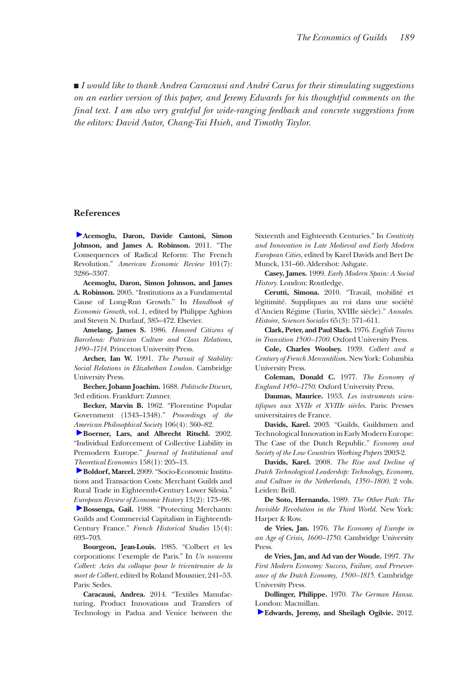■ *I would like to thank Andrea Caracausi and André Carus for their stimulating suggestions on an earlier version of this paper, and Jeremy Edwards for his thoughtful comments on the final text. I am also very grateful for wide-ranging feedback and concrete suggestions from the editors: David Autor, Chang-Tai Hsieh, and Timothy Taylor.*

#### **References**

**Acemoglu, Daron, Davide Cantoni, Simon Johnson, and James A. Robinson.** 2011. "The Consequences of Radical Reform: The French Revolution." *American Economic Review* 101(7): 3286–3307.

**Acemoglu, Daron, Simon Johnson, and James A. Robinson.** 2005. "Institutions as a Fundamental Cause of Long-Run Growth." In *Handbook of Economic Growth*, vol. 1, edited by Philippe Aghion and Steven N. Durlauf, 385–472. Elsevier.

**Amelang, James S.** 1986. *Honored Citizens of Barcelona: Patrician Culture and Class Relations, 1490–1714*. Princeton University Press.

**Archer, Ian W.** 1991. *The Pursuit of Stability: Social Relations in Elizabethan London*. Cambridge University Press.

**Becher, Johann Joachim.** 1688. *Politische Discurs,* 3rd edition. Frankfurt: Zunner.

**Becker, Marvin B.** 1962. "Florentine Popular Government (1343–1348)." *Proceedings of the American Philosophical Society* 106(4): 360–82.

**Boerner, Lars, and Albrecht Ritschl.** 2002. "Individual Enforcement of Collective Liability in Premodern Europe." *Journal of Institutional and Theoretical Economics* 158(1): 205–13.

**[B](http://pubs.aeaweb.org/action/showLinks?crossref=10.1017%2FS1361491609002421)oldorf, Marcel.** 2009. "Socio-Economic Institutions and Transaction Costs: Merchant Guilds and Rural Trade in Eighteenth-Century Lower Silesia." *European Review of Economic History* 13(2): 173–98.

**[B](http://pubs.aeaweb.org/action/showLinks?crossref=10.2307%2F286553)ossenga, Gail.** 1988. "Protecting Merchants: Guilds and Commercial Capitalism in Eighteenth-Century France." *French Historical Studies* 15(4): 693–703.

**Bourgeon, Jean-Louis.** 1985. "Colbert et les corporations: l'exemple de Paris." In *Un nouveau Colbert: Actes du colloque pour le tricentenaire de la mort de Colbert*, edited by Roland Mousnier, 241–53. Paris: Sedes.

**Caracausi, Andrea.** 2014. "Textiles Manufacturing, Product Innovations and Transfers of Technology in Padua and Venice between the Sixteenth and Eighteenth Centuries." In *Creativity and Innovation in Late Medieval and Early Modern European Cities*, edited by Karel Davids and Bert De Munck, 131–60. Aldershot: Ashgate.

**Casey, James.** 1999. *Early Modern Spain: A Social History*. London: Routledge.

**Cerutti, Simona.** 2010. "Travail, mobilité et légitimité. Suppliques au roi dans une société d'Ancien Régime (Turin, XVIIIe siècle)." *Annales. Histoire, Sciences Sociales* 65(3): 571–611.

**Clark, Peter, and Paul Slack.** 1976. *English Towns in Transition 1500–1700*. Oxford University Press.

**Cole, Charles Woolsey.** 1939. *Colbert and a Century of French Mercantilism*. New York: Columbia University Press.

**Coleman, Donald C.** 1977. *The Economy of England 1450–1750*. Oxford University Press.

**Daumas, Maurice.** 1953. *Les instruments scientifiques aux XVIIe et XVIIIe siècles*. Paris: Presses universitaires de France.

**Davids, Karel.** 2003. "Guilds, Guildsmen and Technological Innovation in Early Modern Europe: The Case of the Dutch Republic." *Economy and Society of the Low Countries Working Papers* 2003-2.

**Davids, Karel.** 2008. *The Rise and Decline of Dutch Technological Leadership: Technology, Economy, and Culture in the Netherlands, 1350–1800*, 2 vols. Leiden: Brill.

**De Soto, Hernando.** 1989. *The Other Path: The Invisible Revolution in the Third World*. New York: Harper & Row.

**de Vries, Jan.** 1976. *The Economy of Europe in an Age of Crisis, 1600–1750*. Cambridge University Press.

**de Vries, Jan, and Ad van der Woude.** 1997. *The First Modern Economy: Success, Failure, and Perseverance of the Dutch Economy, 1500–1815*. Cambridge University Press.

**Dollinger, Philippe.** 1970. *The German Hansa*. London: Macmillan.

**[E](http://pubs.aeaweb.org/action/showLinks?crossref=10.1016%2Fj.eeh.2011.12.002)dwards, Jeremy, and Sheilagh Ogilvie.** 2012.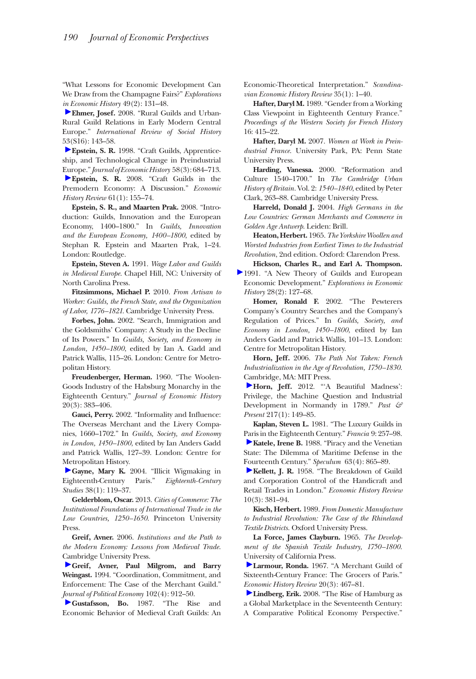"What Lessons for Economic Development Can We Draw from the Champagne Fairs?" *Explorations [in E](http://pubs.aeaweb.org/action/showLinks?crossref=10.1017%2FS0020859008003647)conomic History* 49(2): 131–48.

**Ehmer, Josef.** 2008. "Rural Guilds and Urban-Rural Guild Relations in Early Modern Central Europe." *International Review of Social History* [53\(](http://pubs.aeaweb.org/action/showLinks?crossref=10.1017%2FS0022050700021124)S16): 143–58.

**Epstein, S. R.** 1998. "Craft Guilds, Apprenticeship, and Technological Change in Preindustrial [Eur](http://pubs.aeaweb.org/action/showLinks?crossref=10.1111%2Fj.1468-0289.2007.00411.x)ope." *Journal of Economic History* 58(3): 684–713. **Epstein, S. R.** 2008. "Craft Guilds in the Premodern Economy: A Discussion." *Economic History Review* 61(1): 155–74.

**Epstein, S. R., and Maarten Prak.** 2008. "Introduction: Guilds, Innovation and the European Economy, 1400–1800." In *Guilds, Innovation and the European Economy, 1400–1800*, edited by Stephan R. Epstein and Maarten Prak, 1–24. London: Routledge.

**Epstein, Steven A.** 1991. *Wage Labor and Guilds in Medieval Europe*. Chapel Hill, NC: University of North Carolina Press.

**Fitzsimmons, Michael P.** 2010. *From Artisan to Worker: Guilds, the French State, and the Organization of Labor, 1776–1821*. Cambridge University Press.

**Forbes, John.** 2002. "Search, Immigration and the Goldsmiths' Company: A Study in the Decline of Its Powers." In *Guilds, Society, and Economy in London, 1450–1800*, edited by Ian A. Gadd and Patrick Wallis, 115–26. London: Centre for Metropolitan History.

**Freudenberger, Herman.** 1960. "The Woolen-Goods Industry of the Habsburg Monarchy in the Eighteenth Century." *Journal of Economic History*  20(3): 383–406.

**Gauci, Perry.** 2002. "Informality and Influence: The Overseas Merchant and the Livery Companies, 1660–1702." In *Guilds, Society, and Economy in London, 1450–1800*, edited by Ian Anders Gadd and Patrick Wallis, 127–39. London: Centre for [Me](http://pubs.aeaweb.org/action/showLinks?crossref=10.1353%2Fecs.2004.0057)tropolitan History.

**Gayne, Mary K.** 2004. "Illicit Wigmaking in Eighteenth-Century Paris." *Eighteenth-Century Studies* 38(1): 119–37.

**Gelderblom, Oscar.** 2013. *Cities of Commerce: The Institutional Foundations of International Trade in the Low Countries, 1250–1650*. Princeton University Press.

**Greif, Avner.** 2006. *Institutions and the Path to the Modern Economy: Lessons from Medieval Trade*. [Cam](http://pubs.aeaweb.org/action/showLinks?crossref=10.1086%2F261959)bridge University Press.

**Greif, Avner, Paul Milgrom, and Barry Weingast.** 1994. "Coordination, Commitment, and Enforcement: The Case of the Merchant Guild." *[Jou](http://pubs.aeaweb.org/action/showLinks?crossref=10.1080%2F03585522.1987.10408080)rnal of Political Economy* 102(4): 912–50.

**Gustafsson, Bo.** 1987. "The Rise and Economic Behavior of Medieval Craft Guilds: An Economic-Theoretical Interpretation." *Scandinavian Economic History Review* 35(1): 1–40.

**Hafter, Daryl M.** 1989. "Gender from a Working Class Viewpoint in Eighteenth Century France." *Proceedings of the Western Society for French History* 16: 415–22.

**Hafter, Daryl M.** 2007. *Women at Work in Preindustrial France*. University Park, PA: Penn State University Press.

**Harding, Vanessa.** 2000. "Reformation and Culture 1540–1700." In *The Cambridge Urban History of Britain.* Vol. 2: *1540–1840*, edited by Peter Clark, 263–88. Cambridge University Press.

**Harreld, Donald J.** 2004. *High Germans in the Low Countries: German Merchants and Commerce in Golden Age Antwerp*. Leiden: Brill.

**Heaton, Herbert.** 1965. *The Yorkshire Woollen and Worsted Industries from Earliest Times to the Industrial Revolution*, 2nd edition. Oxford: Clarendon Press.

**Hickson, Charles R., and Earl A. Thompson.** 1991. "A New Theory of Guilds and European Economic Development." *Explorations in Economic History* 28(2): 127–68.

**Homer, Ronald F.** 2002. "The Pewterers Company's Country Searches and the Company's Regulation of Prices." In *Guilds, Society, and Economy in London, 1450–1800*, edited by Ian Anders Gadd and Patrick Wallis, 101–13. London: Centre for Metropolitan History.

**Horn, Jeff.** 2006. *The Path Not Taken: French Industrialization in the Age of Revolution, 1750–1830*. [Cam](http://pubs.aeaweb.org/action/showLinks?crossref=10.1093%2Fpastj%2Fgts010)bridge, MA: MIT Press.

**Horn, Jeff.** 2012. "'A Beautiful Madness': Privilege, the Machine Question and Industrial Development in Normandy in 1789." *Past & Present* 217(1): 149–85.

**Kaplan, Steven L.** 1981. "The Luxury Guilds in [Par](http://pubs.aeaweb.org/action/showLinks?crossref=10.2307%2F2853538)is in the Eighteenth Century." *Francia* 9: 257–98. **Katele, Irene B.** 1988. "Piracy and the Venetian State: The Dilemma of Maritime Defense in the [Fou](http://pubs.aeaweb.org/action/showLinks?crossref=10.2307%2F2591259)rteenth Century." *Speculum* 63(4): 865–89.

**Kellett, J. R.** 1958. "The Breakdown of Guild and Corporation Control of the Handicraft and Retail Trades in London." *Economic History Review*  10(3): 381–94.

**Kisch, Herbert.** 1989. *From Domestic Manufacture to Industrial Revolution: The Case of the Rhineland Textile Districts*. Oxford University Press.

**La Force, James Clayburn.** 1965. *The Development of the Spanish Textile Industry, 1750–1800*. [Un](http://pubs.aeaweb.org/action/showLinks?crossref=10.2307%2F2593066)iversity of California Press.

**Larmour, Ronda.** 1967. "A Merchant Guild of Sixteenth-Century France: The Grocers of Paris." *[Eco](http://pubs.aeaweb.org/action/showLinks?crossref=10.1017%2FS0010417508000285)nomic History Review* 20(3): 467–81.

**Lindberg, Erik.** 2008. "The Rise of Hamburg as a Global Marketplace in the Seventeenth Century: A Comparative Political Economy Perspective."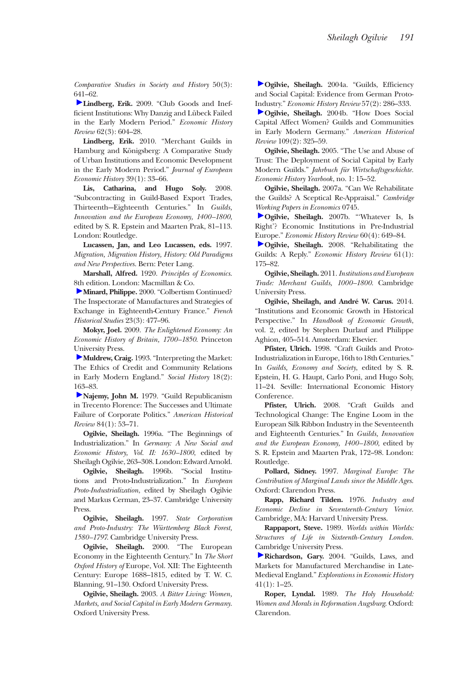*Comparative Studies in Society and History* 50(3): [641](http://pubs.aeaweb.org/action/showLinks?crossref=10.1111%2Fj.1468-0289.2009.00469.x)–62.

**Lindberg, Erik.** 2009. "Club Goods and Inefficient Institutions: Why Danzig and Lübeck Failed in the Early Modern Period." *Economic History Review* 62(3): 604–28.

**Lindberg, Erik.** 2010. "Merchant Guilds in Hamburg and Königsberg: A Comparative Study of Urban Institutions and Economic Development in the Early Modern Period." *Journal of European Economic History* 39(1): 33–66.

**Lis, Catharina, and Hugo Soly.** 2008. "Subcontracting in Guild-Based Export Trades, Thirteenth–-Eighteenth Centuries." In *Guilds, Innovation and the European Economy, 1400–1800*, edited by S. R. Epstein and Maarten Prak, 81–113. London: Routledge.

**Lucassen, Jan, and Leo Lucassen, eds.** 1997. *Migration, Migration History, History: Old Paradigms and New Perspectives*. Bern: Peter Lang.

**Marshall, Alfred.** 1920. *Principles of Economics*. [8th](http://pubs.aeaweb.org/action/showLinks?crossref=10.1215%2F00161071-23-3-477) edition. London: Macmillan & Co.

**Minard, Philippe.** 2000. "Colbertism Continued? The Inspectorate of Manufactures and Strategies of Exchange in Eighteenth-Century France." *French Historical Studies* 23(3): 477–96.

**Mokyr, Joel.** 2009. *The Enlightened Economy: An Economic History of Britain, 1700–1850*. Princeton [Un](http://pubs.aeaweb.org/action/showLinks?crossref=10.1080%2F03071029308567871)iversity Press.

**Muldrew, Craig.** 1993. "Interpreting the Market: The Ethics of Credit and Community Relations in Early Modern England." *Social History* 18(2): [163](http://pubs.aeaweb.org/action/showLinks?crossref=10.2307%2F1855659)–83.

**Najemy, John M.** 1979. "Guild Republicanism in Trecento Florence: The Successes and Ultimate Failure of Corporate Politics." *American Historical Review* 84(1): 53–71.

**Ogilvie, Sheilagh.** 1996a. "The Beginnings of Industrialization." In *Germany: A New Social and Economic History, Vol. II: 1630–1800*, edited by Sheilagh Ogilvie, 263–308. London: Edward Arnold.

**Ogilvie, Sheilagh.** 1996b. "Social Institutions and Proto-Industrialization." In *European Proto-Industrialization*, edited by Sheilagh Ogilvie and Markus Cerman, 23–37. Cambridge University Press.

**Ogilvie, Sheilagh.** 1997. *State Corporatism and Proto-Industry: The Württemberg Black Forest, 1580–1797*. Cambridge University Press.

**Ogilvie, Sheilagh.** 2000. "The European Economy in the Eighteenth Century." In *The Short Oxford History of* Europe, Vol. XII: The Eighteenth Century: Europe 1688–1815, edited by T. W. C. Blanning, 91–130. Oxford University Press.

**Ogilvie, Sheilagh.** 2003. *A Bitter Living: Women, Markets, and Social Capital in Early Modern Germany*. Oxford University Press.

**[O](http://pubs.aeaweb.org/action/showLinks?crossref=10.1111%2Fj.1468-0289.2004.00279.x)gilvie, Sheilagh.** 2004a. "Guilds, Efficiency and Social Capital: Evidence from German Proto-[Ind](http://pubs.aeaweb.org/action/showLinks?crossref=10.1086%2F530335)ustry." *Economic History Review* 57(2): 286–333.

**Ogilvie, Sheilagh.** 2004b. "How Does Social Capital Affect Women? Guilds and Communities in Early Modern Germany." *American Historical Review* 109(2): 325–59.

**Ogilvie, Sheilagh.** 2005. "The Use and Abuse of Trust: The Deployment of Social Capital by Early Modern Guilds." *Jahrbuch für Wirtschaftsgeschichte. Economic History Yearbook*, no. 1: 15–52.

**Ogilvie, Sheilagh.** 2007a. "Can We Rehabilitate the Guilds? A Sceptical Re-Appraisal." *Cambridge [Wor](http://pubs.aeaweb.org/action/showLinks?crossref=10.1111%2Fj.1468-0289.2007.00408.x)king Papers in Economics* 0745.

**Ogilvie, Sheilagh.** 2007b. "'Whatever Is, Is Right'? Economic Institutions in Pre-Industrial [Eur](http://pubs.aeaweb.org/action/showLinks?crossref=10.1111%2Fj.1468-0289.2007.00417.x)ope." *Economic History Review* 60(4): 649–84.

**Ogilvie, Sheilagh.** 2008. "Rehabilitating the Guilds: A Reply." *Economic History Review* 61(1): 175–82.

**Ogilvie, Sheilagh.** 2011. *Institutions and European Trade: Merchant Guilds, 1000–1800*. Cambridge University Press.

**Ogilvie, Sheilagh, and André W. Carus.** 2014. "Institutions and Economic Growth in Historical Perspective." In *Handbook of Economic Growth*, vol. 2, edited by Stephen Durlauf and Philippe Aghion, 405–514. Amsterdam: Elsevier.

**Pfister, Ulrich.** 1998. "Craft Guilds and Proto-Industrialization in Europe, 16th to 18th Centuries." In *Guilds, Economy and Society*, edited by S. R. Epstein, H. G. Haupt, Carlo Poni, and Hugo Soly, 11–24. Seville: International Economic History Conference.

**Pfister, Ulrich.** 2008. "Craft Guilds and Technological Change: The Engine Loom in the European Silk Ribbon Industry in the Seventeenth and Eighteenth Centuries." In *Guilds, Innovation and the European Economy, 1400–1800*, edited by S. R. Epstein and Maarten Prak, 172–98. London: Routledge.

**Pollard, Sidney.** 1997. *Marginal Europe: The Contribution of Marginal Lands since the Middle Ages*. Oxford: Clarendon Press.

**Rapp, Richard Tilden.** 1976. *Industry and Economic Decline in Seventeenth-Century Venice*. Cambridge, MA: Harvard University Press.

**Rappaport, Steve.** 1989. *Worlds within Worlds: Structures of Life in Sixteenth-Century London*. [Cam](http://pubs.aeaweb.org/action/showLinks?crossref=10.1016%2FS0014-4983%2803%2900045-7)bridge University Press.

**Richardson, Gary.** 2004. "Guilds, Laws, and Markets for Manufactured Merchandise in Late-Medieval England." *Explorations in Economic History*  41(1): 1–25.

**Roper, Lyndal.** 1989. *The Holy Household: Women and Morals in Reformation Augsburg*. Oxford: Clarendon.